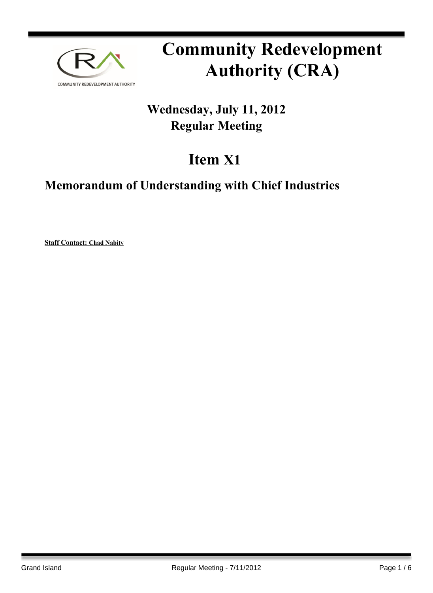

# **Community Redevelopment Authority (CRA)**

## **Wednesday, July 11, 2012 Regular Meeting**

## **Item X1**

### **Memorandum of Understanding with Chief Industries**

**Staff Contact: Chad Nabity**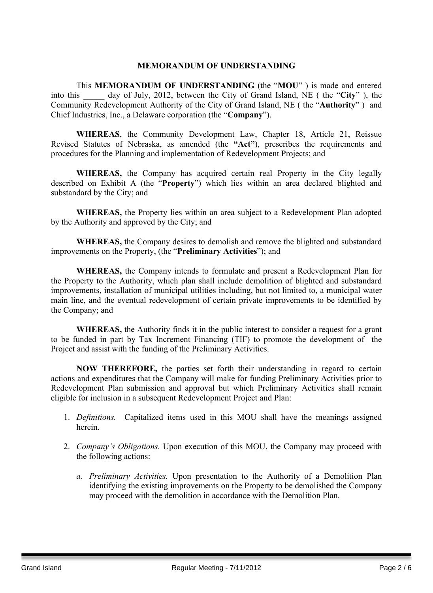#### **MEMORANDUM OF UNDERSTANDING**

This **MEMORANDUM OF UNDERSTANDING** (the "**MOU**" ) is made and entered into this \_\_\_\_\_ day of July, 2012, between the City of Grand Island, NE ( the "**City**" ), the Community Redevelopment Authority of the City of Grand Island, NE ( the "**Authority**" ) and Chief Industries, Inc., a Delaware corporation (the "**Company**").

**WHEREAS**, the Community Development Law, Chapter 18, Article 21, Reissue Revised Statutes of Nebraska, as amended (the **"Act"**), prescribes the requirements and procedures for the Planning and implementation of Redevelopment Projects; and

**WHEREAS,** the Company has acquired certain real Property in the City legally described on Exhibit A (the "**Property**") which lies within an area declared blighted and substandard by the City; and

**WHEREAS,** the Property lies within an area subject to a Redevelopment Plan adopted by the Authority and approved by the City; and

**WHEREAS,** the Company desires to demolish and remove the blighted and substandard improvements on the Property, (the "**Preliminary Activities**"); and

**WHEREAS,** the Company intends to formulate and present a Redevelopment Plan for the Property to the Authority, which plan shall include demolition of blighted and substandard improvements, installation of municipal utilities including, but not limited to, a municipal water main line, and the eventual redevelopment of certain private improvements to be identified by the Company; and

**WHEREAS,** the Authority finds it in the public interest to consider a request for a grant to be funded in part by Tax Increment Financing (TIF) to promote the development of the Project and assist with the funding of the Preliminary Activities.

**NOW THEREFORE,** the parties set forth their understanding in regard to certain actions and expenditures that the Company will make for funding Preliminary Activities prior to Redevelopment Plan submission and approval but which Preliminary Activities shall remain eligible for inclusion in a subsequent Redevelopment Project and Plan:

- 1. *Definitions.* Capitalized items used in this MOU shall have the meanings assigned herein.
- 2. *Company's Obligations.* Upon execution of this MOU, the Company may proceed with the following actions:
	- *a. Preliminary Activities.* Upon presentation to the Authority of a Demolition Plan identifying the existing improvements on the Property to be demolished the Company may proceed with the demolition in accordance with the Demolition Plan.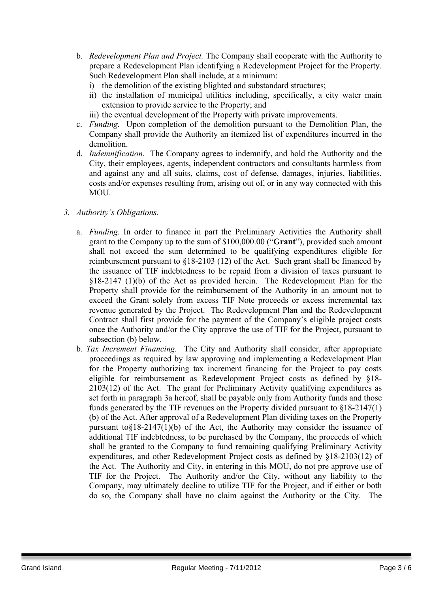- b. *Redevelopment Plan and Project.* The Company shall cooperate with the Authority to prepare a Redevelopment Plan identifying a Redevelopment Project for the Property. Such Redevelopment Plan shall include, at a minimum:
	- i) the demolition of the existing blighted and substandard structures;
	- ii) the installation of municipal utilities including, specifically, a city water main extension to provide service to the Property; and
	- iii) the eventual development of the Property with private improvements.
- c. *Funding.* Upon completion of the demolition pursuant to the Demolition Plan, the Company shall provide the Authority an itemized list of expenditures incurred in the demolition.
- d. *Indemnification.* The Company agrees to indemnify, and hold the Authority and the City, their employees, agents, independent contractors and consultants harmless from and against any and all suits, claims, cost of defense, damages, injuries, liabilities, costs and/or expenses resulting from, arising out of, or in any way connected with this MOU.

#### *3. Authority's Obligations.*

- a. *Funding.* In order to finance in part the Preliminary Activities the Authority shall grant to the Company up to the sum of \$100,000.00 ("**Grant**"), provided such amount shall not exceed the sum determined to be qualifying expenditures eligible for reimbursement pursuant to §18-2103 (12) of the Act. Such grant shall be financed by the issuance of TIF indebtedness to be repaid from a division of taxes pursuant to §18-2147 (1)(b) of the Act as provided herein. The Redevelopment Plan for the Property shall provide for the reimbursement of the Authority in an amount not to exceed the Grant solely from excess TIF Note proceeds or excess incremental tax revenue generated by the Project. The Redevelopment Plan and the Redevelopment Contract shall first provide for the payment of the Company's eligible project costs once the Authority and/or the City approve the use of TIF for the Project, pursuant to subsection (b) below.
- b. *Tax Increment Financing.* The City and Authority shall consider, after appropriate proceedings as required by law approving and implementing a Redevelopment Plan for the Property authorizing tax increment financing for the Project to pay costs eligible for reimbursement as Redevelopment Project costs as defined by §18- 2103(12) of the Act. The grant for Preliminary Activity qualifying expenditures as set forth in paragraph 3a hereof, shall be payable only from Authority funds and those funds generated by the TIF revenues on the Property divided pursuant to §18-2147(1) (b) of the Act. After approval of a Redevelopment Plan dividing taxes on the Property pursuant to $§18-2147(1)(b)$  of the Act, the Authority may consider the issuance of additional TIF indebtedness, to be purchased by the Company, the proceeds of which shall be granted to the Company to fund remaining qualifying Preliminary Activity expenditures, and other Redevelopment Project costs as defined by §18-2103(12) of the Act. The Authority and City, in entering in this MOU, do not pre approve use of TIF for the Project. The Authority and/or the City, without any liability to the Company, may ultimately decline to utilize TIF for the Project, and if either or both do so, the Company shall have no claim against the Authority or the City. The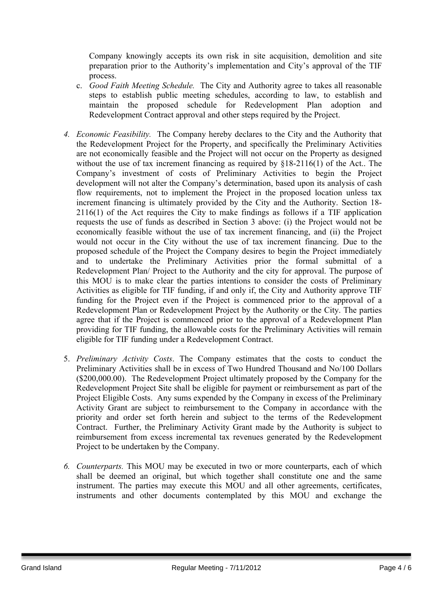Company knowingly accepts its own risk in site acquisition, demolition and site preparation prior to the Authority's implementation and City's approval of the TIF process.

- c. *Good Faith Meeting Schedule.* The City and Authority agree to takes all reasonable steps to establish public meeting schedules, according to law, to establish and maintain the proposed schedule for Redevelopment Plan adoption and Redevelopment Contract approval and other steps required by the Project.
- *4. Economic Feasibility.* The Company hereby declares to the City and the Authority that the Redevelopment Project for the Property, and specifically the Preliminary Activities are not economically feasible and the Project will not occur on the Property as designed without the use of tax increment financing as required by  $\S 18-2116(1)$  of the Act.. The Company's investment of costs of Preliminary Activities to begin the Project development will not alter the Company's determination, based upon its analysis of cash flow requirements, not to implement the Project in the proposed location unless tax increment financing is ultimately provided by the City and the Authority. Section 18- 2116(1) of the Act requires the City to make findings as follows if a TIF application requests the use of funds as described in Section 3 above: (i) the Project would not be economically feasible without the use of tax increment financing, and (ii) the Project would not occur in the City without the use of tax increment financing. Due to the proposed schedule of the Project the Company desires to begin the Project immediately and to undertake the Preliminary Activities prior the formal submittal of a Redevelopment Plan/ Project to the Authority and the city for approval. The purpose of this MOU is to make clear the parties intentions to consider the costs of Preliminary Activities as eligible for TIF funding, if and only if, the City and Authority approve TIF funding for the Project even if the Project is commenced prior to the approval of a Redevelopment Plan or Redevelopment Project by the Authority or the City. The parties agree that if the Project is commenced prior to the approval of a Redevelopment Plan providing for TIF funding, the allowable costs for the Preliminary Activities will remain eligible for TIF funding under a Redevelopment Contract.
- 5. *Preliminary Activity Costs*. The Company estimates that the costs to conduct the Preliminary Activities shall be in excess of Two Hundred Thousand and No/100 Dollars (\$200,000.00). The Redevelopment Project ultimately proposed by the Company for the Redevelopment Project Site shall be eligible for payment or reimbursement as part of the Project Eligible Costs. Any sums expended by the Company in excess of the Preliminary Activity Grant are subject to reimbursement to the Company in accordance with the priority and order set forth herein and subject to the terms of the Redevelopment Contract. Further, the Preliminary Activity Grant made by the Authority is subject to reimbursement from excess incremental tax revenues generated by the Redevelopment Project to be undertaken by the Company.
- *6. Counterparts.* This MOU may be executed in two or more counterparts, each of which shall be deemed an original, but which together shall constitute one and the same instrument. The parties may execute this MOU and all other agreements, certificates, instruments and other documents contemplated by this MOU and exchange the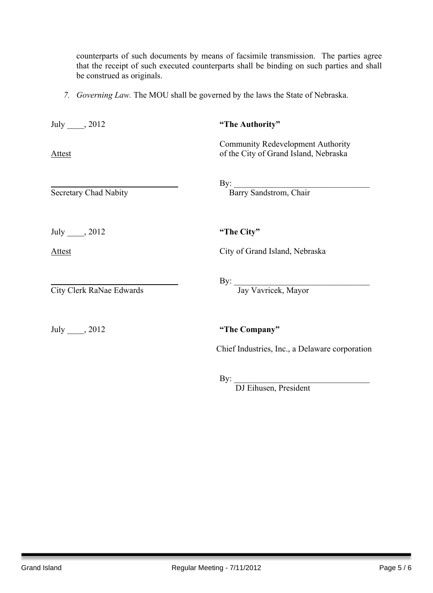counterparts of such documents by means of facsimile transmission. The parties agree that the receipt of such executed counterparts shall be binding on such parties and shall be construed as originals.

*7. Governing Law.* The MOU shall be governed by the laws the State of Nebraska.

| July $\_\_$ , 2012           | "The Authority"                                                                   |
|------------------------------|-----------------------------------------------------------------------------------|
| Attest                       | <b>Community Redevelopment Authority</b><br>of the City of Grand Island, Nebraska |
| <b>Secretary Chad Nabity</b> | By: Barry Sandstrom, Chair                                                        |
| July $\_\_$ , 2012           | "The City"                                                                        |
| Attest                       | City of Grand Island, Nebraska                                                    |
| City Clerk RaNae Edwards     | By: Jay Vavricek, Mayor                                                           |
| July _____, 2012             | "The Company"                                                                     |
|                              | Chief Industries, Inc., a Delaware corporation                                    |

 $\mathbf{By:}$ 

DJ Eihusen, President